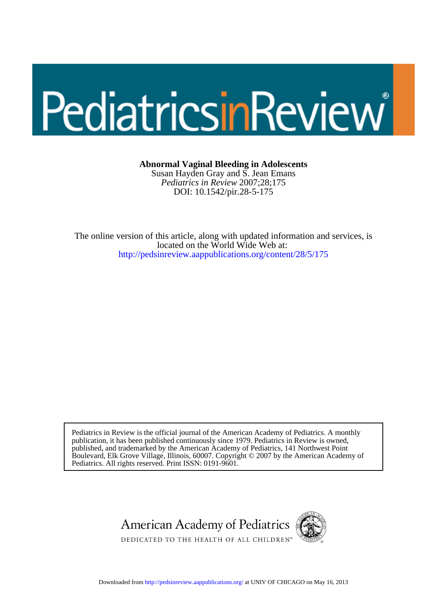# PediatricsinReview

#### **Abnormal Vaginal Bleeding in Adolescents**

DOI: 10.1542/pir.28-5-175 *Pediatrics in Review* 2007;28;175 Susan Hayden Gray and S. Jean Emans

<http://pedsinreview.aappublications.org/content/28/5/175> located on the World Wide Web at: The online version of this article, along with updated information and services, is

Pediatrics. All rights reserved. Print ISSN: 0191-9601. Boulevard, Elk Grove Village, Illinois, 60007. Copyright © 2007 by the American Academy of published, and trademarked by the American Academy of Pediatrics, 141 Northwest Point publication, it has been published continuously since 1979. Pediatrics in Review is owned, Pediatrics in Review is the official journal of the American Academy of Pediatrics. A monthly

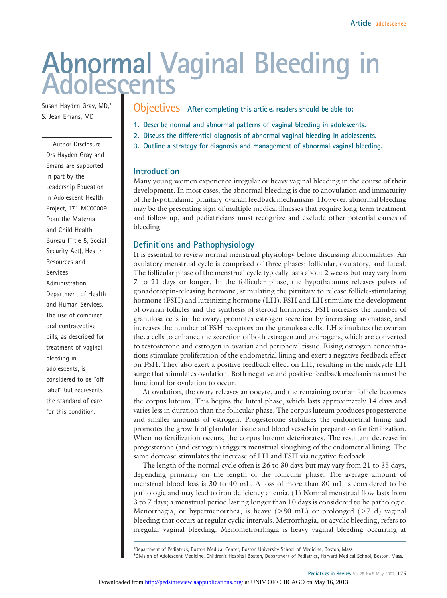## **Abnormal Vaginal Bleeding in Adolescents**

Susan Hayden Gray, MD,\* S. Jean Emans, MD†

Author Disclosure Drs Hayden Gray and Emans are supported in part by the Leadership Education in Adolescent Health Project, T71 MC00009 from the Maternal and Child Health Bureau (Title 5, Social Security Act), Health Resources and Services Administration, Department of Health and Human Services. The use of combined oral contraceptive pills, as described for treatment of vaginal bleeding in adolescents, is considered to be "off label" but represents the standard of care for this condition.

## Objectives **After completing this article, readers should be able to:**

- **1. Describe normal and abnormal patterns of vaginal bleeding in adolescents.**
- **2. Discuss the differential diagnosis of abnormal vaginal bleeding in adolescents.**
- **3. Outline a strategy for diagnosis and management of abnormal vaginal bleeding.**

#### **Introduction**

Many young women experience irregular or heavy vaginal bleeding in the course of their development. In most cases, the abnormal bleeding is due to anovulation and immaturity of the hypothalamic-pituitary-ovarian feedback mechanisms. However, abnormal bleeding may be the presenting sign of multiple medical illnesses that require long-term treatment and follow-up, and pediatricians must recognize and exclude other potential causes of bleeding.

#### **Definitions and Pathophysiology**

It is essential to review normal menstrual physiology before discussing abnormalities. An ovulatory menstrual cycle is comprised of three phases: follicular, ovulatory, and luteal. The follicular phase of the menstrual cycle typically lasts about 2 weeks but may vary from 7 to 21 days or longer. In the follicular phase, the hypothalamus releases pulses of gonadotropin-releasing hormone, stimulating the pituitary to release follicle-stimulating hormone (FSH) and luteinizing hormone (LH). FSH and LH stimulate the development of ovarian follicles and the synthesis of steroid hormones. FSH increases the number of granulosa cells in the ovary, promotes estrogen secretion by increasing aromatase, and increases the number of FSH receptors on the granulosa cells. LH stimulates the ovarian theca cells to enhance the secretion of both estrogen and androgens, which are converted to testosterone and estrogen in ovarian and peripheral tissue. Rising estrogen concentrations stimulate proliferation of the endometrial lining and exert a negative feedback effect on FSH. They also exert a positive feedback effect on LH, resulting in the midcycle LH surge that stimulates ovulation. Both negative and positive feedback mechanisms must be functional for ovulation to occur.

At ovulation, the ovary releases an oocyte, and the remaining ovarian follicle becomes the corpus luteum. This begins the luteal phase, which lasts approximately 14 days and varies less in duration than the follicular phase. The corpus luteum produces progesterone and smaller amounts of estrogen. Progesterone stabilizes the endometrial lining and promotes the growth of glandular tissue and blood vessels in preparation for fertilization. When no fertilization occurs, the corpus luteum deteriorates. The resultant decrease in progesterone (and estrogen) triggers menstrual sloughing of the endometrial lining. The same decrease stimulates the increase of LH and FSH via negative feedback.

The length of the normal cycle often is 26 to 30 days but may vary from 21 to 35 days, depending primarily on the length of the follicular phase. The average amount of menstrual blood loss is 30 to 40 mL. A loss of more than 80 mL is considered to be pathologic and may lead to iron deficiency anemia. (1) Normal menstrual flow lasts from 3 to 7 days; a menstrual period lasting longer than 10 days is considered to be pathologic. Menorrhagia, or hypermenorrhea, is heavy  $(80 \text{ mL})$  or prolonged  $(27 \text{ d})$  vaginal bleeding that occurs at regular cyclic intervals. Metrorrhagia, or acyclic bleeding, refers to irregular vaginal bleeding. Menometrorrhagia is heavy vaginal bleeding occurring at

\*Department of Pediatrics, Boston Medical Center, Boston University School of Medicine, Boston, Mass. † Division of Adolescent Medicine, Children's Hospital Boston, Department of Pediatrics, Harvard Medical School, Boston, Mass.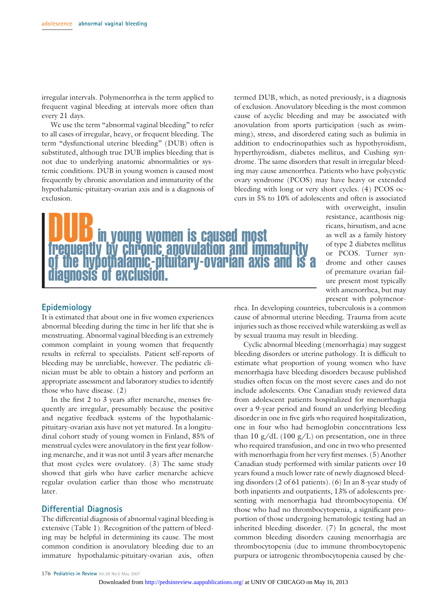irregular intervals. Polymenorrhea is the term applied to frequent vaginal bleeding at intervals more often than every 21 days.

We use the term "abnormal vaginal bleeding" to refer to all cases of irregular, heavy, or frequent bleeding. The term "dysfunctional uterine bleeding" (DUB) often is substituted, although true DUB implies bleeding that is not due to underlying anatomic abnormalities or systemic conditions. DUB in young women is caused most frequently by chronic anovulation and immaturity of the hypothalamic-pituitary-ovarian axis and is a diagnosis of exclusion.

Pung women is caused most<br>frequently chronic anovulation and immaturity<br>alamic-pituitary-ovarian axis and

#### **Epidemiology**

It is estimated that about one in five women experiences abnormal bleeding during the time in her life that she is menstruating. Abnormal vaginal bleeding is an extremely common complaint in young women that frequently results in referral to specialists. Patient self-reports of bleeding may be unreliable, however. The pediatric clinician must be able to obtain a history and perform an appropriate assessment and laboratory studies to identify those who have disease. (2)

In the first 2 to 3 years after menarche, menses frequently are irregular, presumably because the positive and negative feedback systems of the hypothalamicpituitary-ovarian axis have not yet matured. In a longitudinal cohort study of young women in Finland, 85% of menstrual cycles were anovulatory in the first year following menarche, and it was not until 3 years after menarche that most cycles were ovulatory. (3) The same study showed that girls who have earlier menarche achieve regular ovulation earlier than those who menstruate later.

#### **Differential Diagnosis**

The differential diagnosis of abnormal vaginal bleeding is extensive (Table 1). Recognition of the pattern of bleeding may be helpful in determining its cause. The most common condition is anovulatory bleeding due to an immature hypothalamic-pituitary-ovarian axis, often

termed DUB, which, as noted previously, is a diagnosis of exclusion. Anovulatory bleeding is the most common cause of acyclic bleeding and may be associated with anovulation from sports participation (such as swimming), stress, and disordered eating such as bulimia in addition to endocrinopathies such as hypothyroidism, hyperthyroidism, diabetes mellitus, and Cushing syndrome. The same disorders that result in irregular bleeding may cause amenorrhea. Patients who have polycystic ovary syndrome (PCOS) may have heavy or extended bleeding with long or very short cycles. (4) PCOS occurs in 5% to 10% of adolescents and often is associated

> with overweight, insulin resistance, acanthosis nigricans, hirsutism, and acne as well as a family history of type 2 diabetes mellitus or PCOS. Turner syndrome and other causes of premature ovarian failure present most typically with amenorrhea, but may present with polymenor-

rhea. In developing countries, tuberculosis is a common cause of abnormal uterine bleeding. Trauma from acute injuries such as those received while waterskiing as well as by sexual trauma may result in bleeding.

Cyclic abnormal bleeding (menorrhagia) may suggest bleeding disorders or uterine pathology. It is difficult to estimate what proportion of young women who have menorrhagia have bleeding disorders because published studies often focus on the most severe cases and do not include adolescents. One Canadian study reviewed data from adolescent patients hospitalized for menorrhagia over a 9-year period and found an underlying bleeding disorder in one in five girls who required hospitalization, one in four who had hemoglobin concentrations less than 10  $g/dL$  (100  $g/L$ ) on presentation, one in three who required transfusion, and one in two who presented with menorrhagia from her very first menses. (5) Another Canadian study performed with similar patients over 10 years found a much lower rate of newly diagnosed bleeding disorders (2 of 61 patients). (6) In an 8-year study of both inpatients and outpatients, 13% of adolescents presenting with menorrhagia had thrombocytopenia. Of those who had no thrombocytopenia, a significant proportion of those undergoing hematologic testing had an inherited bleeding disorder. (7) In general, the most common bleeding disorders causing menorrhagia are thrombocytopenia (due to immune thrombocytopenic purpura or iatrogenic thrombocytopenia caused by che-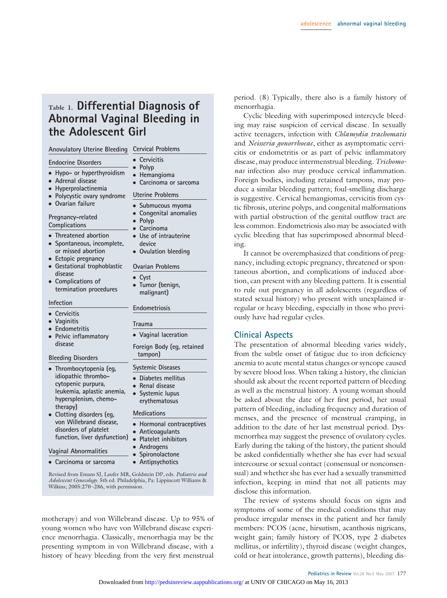## **Table 1. Differential Diagnosis of Abnormal Vaginal Bleeding in the Adolescent Girl**

**Anovulatory Uterine Bleeding Cervical Problems**

| • Complications of<br>• Tumor (benign,<br>termination procedures<br>malignant)<br>Infection<br>Endometriosis<br>• Cervicitis<br>• Vaginitis<br>Trauma<br>• Endometritis<br>· Vaginal laceration<br>• Pelvic inflammatory<br>disease<br>Foreign Body (eg, retained<br>tampon)<br><b>Bleeding Disorders</b><br><b>Systemic Diseases</b><br>Thrombocytopenia (eg,<br>idiopathic thrombo-<br>Diabetes mellitus<br>cytopenic purpura,<br>Renal disease<br>$\bullet$<br>leukemia, aplastic anemia,<br>Systemic lupus<br>hypersplenism, chemo-<br>erythematosus<br>therapy)<br><b>Medications</b><br>Clotting disorders (eg,<br>von Willebrand disease,<br>disorders of platelet<br>Anticoagulants<br>$\bullet$<br>function, liver dysfunction)<br>• Platelet inhibitors<br>Androgens<br>$\bullet$<br>Vaginal Abnormalities<br>Spironolactone | <b>Endocrine Disorders</b><br>Hypo- or hyperthyroidism<br>Adrenal disease<br>• Hyperprolactinemia<br>Polycystic ovary syndrome<br>Ovarian failure<br>Pregnancy-related<br>Complications<br>• Threatened abortion<br>• Spontaneous, incomplete,<br>or missed abortion<br>• Ectopic pregnancy<br>Gestational trophoblastic<br>disease | Cervicitis<br>Polyp<br>Hemangioma<br>Carcinoma or sarcoma<br><b>Uterine Problems</b><br>• Submucous myoma<br>• Congenital anomalies<br>Polyp<br>$\bullet$<br>Carcinoma<br>Use of intrauterine<br>$\bullet$<br>device<br>Ovulation bleeding<br><b>Ovarian Problems</b> |
|----------------------------------------------------------------------------------------------------------------------------------------------------------------------------------------------------------------------------------------------------------------------------------------------------------------------------------------------------------------------------------------------------------------------------------------------------------------------------------------------------------------------------------------------------------------------------------------------------------------------------------------------------------------------------------------------------------------------------------------------------------------------------------------------------------------------------------------|-------------------------------------------------------------------------------------------------------------------------------------------------------------------------------------------------------------------------------------------------------------------------------------------------------------------------------------|-----------------------------------------------------------------------------------------------------------------------------------------------------------------------------------------------------------------------------------------------------------------------|
|                                                                                                                                                                                                                                                                                                                                                                                                                                                                                                                                                                                                                                                                                                                                                                                                                                        |                                                                                                                                                                                                                                                                                                                                     | $\bullet$ Cyst                                                                                                                                                                                                                                                        |
|                                                                                                                                                                                                                                                                                                                                                                                                                                                                                                                                                                                                                                                                                                                                                                                                                                        |                                                                                                                                                                                                                                                                                                                                     |                                                                                                                                                                                                                                                                       |
|                                                                                                                                                                                                                                                                                                                                                                                                                                                                                                                                                                                                                                                                                                                                                                                                                                        |                                                                                                                                                                                                                                                                                                                                     | • Hormonal contraceptives                                                                                                                                                                                                                                             |
|                                                                                                                                                                                                                                                                                                                                                                                                                                                                                                                                                                                                                                                                                                                                                                                                                                        | • Carcinoma or sarcoma                                                                                                                                                                                                                                                                                                              | Antipsychotics                                                                                                                                                                                                                                                        |

Revised from Emans SJ, Laufer MR, Goldstein DP, eds. *Pediatric and Adolescent Gynecology*. 5th ed. Philadelphia, Pa: Lippincott Williams & Wilkins; 2005:270 –286, with permission.

motherapy) and von Willebrand disease. Up to 95% of young women who have von Willebrand disease experience menorrhagia. Classically, menorrhagia may be the presenting symptom in von Willebrand disease, with a history of heavy bleeding from the very first menstrual

period. (8) Typically, there also is a family history of menorrhagia.

Cyclic bleeding with superimposed intercycle bleeding may raise suspicion of cervical disease. In sexually active teenagers, infection with *Chlamydia trachomatis* and *Neisseria gonorrhoeae*, either as asymptomatic cervicitis or endometritis or as part of pelvic inflammatory disease, may produce intermenstrual bleeding. *Trichomonas* infection also may produce cervical inflammation. Foreign bodies, including retained tampons, may produce a similar bleeding pattern; foul-smelling discharge is suggestive. Cervical hemangiomas, cervicitis from cystic fibrosis, uterine polyps, and congenital malformations with partial obstruction of the genital outflow tract are less common. Endometriosis also may be associated with cyclic bleeding that has superimposed abnormal bleeding.

It cannot be overemphasized that conditions of pregnancy, including ectopic pregnancy, threatened or spontaneous abortion, and complications of induced abortion, can present with any bleeding pattern. It is essential to rule out pregnancy in all adolescents (regardless of stated sexual history) who present with unexplained irregular or heavy bleeding, especially in those who previously have had regular cycles.

#### **Clinical Aspects**

The presentation of abnormal bleeding varies widely, from the subtle onset of fatigue due to iron deficiency anemia to acute mental status changes or syncope caused by severe blood loss. When taking a history, the clinician should ask about the recent reported pattern of bleeding as well as the menstrual history. A young woman should be asked about the date of her first period, her usual pattern of bleeding, including frequency and duration of menses, and the presence of menstrual cramping, in addition to the date of her last menstrual period. Dysmenorrhea may suggest the presence of ovulatory cycles. Early during the taking of the history, the patient should be asked confidentially whether she has ever had sexual intercourse or sexual contact (consensual or nonconsensual) and whether she has ever had a sexually transmitted infection, keeping in mind that not all patients may disclose this information.

The review of systems should focus on signs and symptoms of some of the medical conditions that may produce irregular menses in the patient and her family members: PCOS (acne, hirsutism, acanthosis nigricans, weight gain; family history of PCOS, type 2 diabetes mellitus, or infertility), thyroid disease (weight changes, cold or heat intolerance, growth patterns), bleeding dis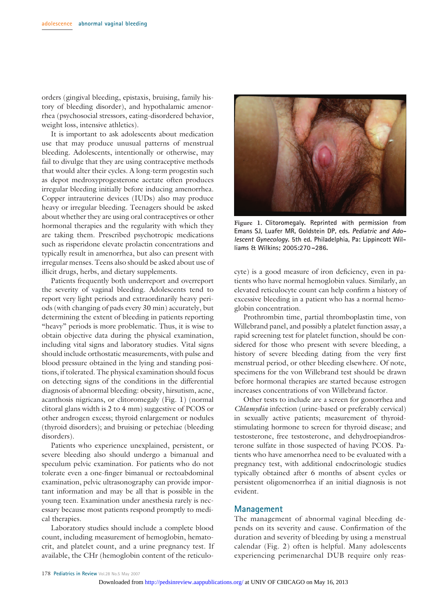orders (gingival bleeding, epistaxis, bruising, family history of bleeding disorder), and hypothalamic amenorrhea (psychosocial stressors, eating-disordered behavior, weight loss, intensive athletics).

It is important to ask adolescents about medication use that may produce unusual patterns of menstrual bleeding. Adolescents, intentionally or otherwise, may fail to divulge that they are using contraceptive methods that would alter their cycles. A long-term progestin such as depot medroxyprogesterone acetate often produces irregular bleeding initially before inducing amenorrhea. Copper intrauterine devices (IUDs) also may produce heavy or irregular bleeding. Teenagers should be asked about whether they are using oral contraceptives or other hormonal therapies and the regularity with which they are taking them. Prescribed psychotropic medications such as risperidone elevate prolactin concentrations and typically result in amenorrhea, but also can present with irregular menses. Teens also should be asked about use of illicit drugs, herbs, and dietary supplements.

Patients frequently both underreport and overreport the severity of vaginal bleeding. Adolescents tend to report very light periods and extraordinarily heavy periods (with changing of pads every 30 min) accurately, but determining the extent of bleeding in patients reporting "heavy" periods is more problematic. Thus, it is wise to obtain objective data during the physical examination, including vital signs and laboratory studies. Vital signs should include orthostatic measurements, with pulse and blood pressure obtained in the lying and standing positions, if tolerated. The physical examination should focus on detecting signs of the conditions in the differential diagnosis of abnormal bleeding: obesity, hirsutism, acne, acanthosis nigricans, or clitoromegaly (Fig. 1) (normal clitoral glans width is 2 to 4 mm) suggestive of PCOS or other androgen excess; thyroid enlargement or nodules (thyroid disorders); and bruising or petechiae (bleeding disorders).

Patients who experience unexplained, persistent, or severe bleeding also should undergo a bimanual and speculum pelvic examination. For patients who do not tolerate even a one-finger bimanual or rectoabdominal examination, pelvic ultrasonography can provide important information and may be all that is possible in the young teen. Examination under anesthesia rarely is necessary because most patients respond promptly to medical therapies.

Laboratory studies should include a complete blood count, including measurement of hemoglobin, hematocrit, and platelet count, and a urine pregnancy test. If available, the CHr (hemoglobin content of the reticulo-



**Figure 1. Clitoromegaly. Reprinted with permission from Emans SJ, Luafer MR, Goldstein DP, eds. Pediatric and Adolescent Gynecology. 5th ed. Philadelphia, Pa: Lippincott Williams & Wilkins; 2005:270 –286.**

cyte) is a good measure of iron deficiency, even in patients who have normal hemoglobin values. Similarly, an elevated reticulocyte count can help confirm a history of excessive bleeding in a patient who has a normal hemoglobin concentration.

Prothrombin time, partial thromboplastin time, von Willebrand panel, and possibly a platelet function assay, a rapid screening test for platelet function, should be considered for those who present with severe bleeding, a history of severe bleeding dating from the very first menstrual period, or other bleeding elsewhere. Of note, specimens for the von Willebrand test should be drawn before hormonal therapies are started because estrogen increases concentrations of von Willebrand factor.

Other tests to include are a screen for gonorrhea and *Chlamydia* infection (urine-based or preferably cervical) in sexually active patients; measurement of thyroidstimulating hormone to screen for thyroid disease; and testosterone, free testosterone, and dehydroepiandrosterone sulfate in those suspected of having PCOS. Patients who have amenorrhea need to be evaluated with a pregnancy test, with additional endocrinologic studies typically obtained after 6 months of absent cycles or persistent oligomenorrhea if an initial diagnosis is not evident.

#### **Management**

The management of abnormal vaginal bleeding depends on its severity and cause. Confirmation of the duration and severity of bleeding by using a menstrual calendar (Fig. 2) often is helpful. Many adolescents experiencing perimenarchal DUB require only reas-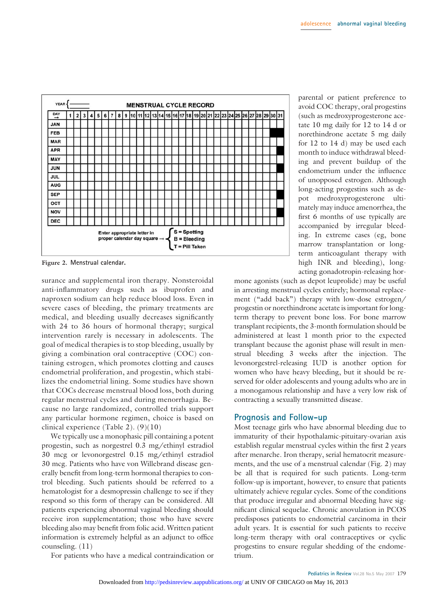

**Figure 2. Menstrual calendar.**

surance and supplemental iron therapy. Nonsteroidal anti-inflammatory drugs such as ibuprofen and naproxen sodium can help reduce blood loss. Even in severe cases of bleeding, the primary treatments are medical, and bleeding usually decreases significantly with 24 to 36 hours of hormonal therapy; surgical intervention rarely is necessary in adolescents. The goal of medical therapies is to stop bleeding, usually by giving a combination oral contraceptive (COC) containing estrogen, which promotes clotting and causes endometrial proliferation, and progestin, which stabilizes the endometrial lining. Some studies have shown that COCs decrease menstrual blood loss, both during regular menstrual cycles and during menorrhagia. Because no large randomized, controlled trials support any particular hormone regimen, choice is based on clinical experience (Table 2). (9)(10)

We typically use a monophasic pill containing a potent progestin, such as norgestrel 0.3 mg/ethinyl estradiol 30 mcg or levonorgestrel 0.15 mg/ethinyl estradiol 30 mcg. Patients who have von Willebrand disease generally benefit from long-term hormonal therapies to control bleeding. Such patients should be referred to a hematologist for a desmopressin challenge to see if they respond so this form of therapy can be considered. All patients experiencing abnormal vaginal bleeding should receive iron supplementation; those who have severe bleeding also may benefit from folic acid. Written patient information is extremely helpful as an adjunct to office counseling. (11)

parental or patient preference to avoid COC therapy, oral progestins (such as medroxyprogesterone acetate 10 mg daily for 12 to 14 d or norethindrone acetate 5 mg daily for 12 to 14 d) may be used each month to induce withdrawal bleeding and prevent buildup of the endometrium under the influence of unopposed estrogen. Although long-acting progestins such as depot medroxyprogesterone ultimately may induce amenorrhea, the first 6 months of use typically are accompanied by irregular bleeding. In extreme cases (eg, bone marrow transplantation or longterm anticoagulant therapy with high INR and bleeding), longacting gonadotropin-releasing hor-

mone agonists (such as depot leuprolide) may be useful in arresting menstrual cycles entirely; hormonal replacement ("add back") therapy with low-dose estrogen/ progestin or norethindrone acetate is important for longterm therapy to prevent bone loss. For bone marrow transplant recipients, the 3-month formulation should be administered at least 1 month prior to the expected transplant because the agonist phase will result in menstrual bleeding 3 weeks after the injection. The levonorgestrel-releasing IUD is another option for women who have heavy bleeding, but it should be reserved for older adolescents and young adults who are in a monogamous relationship and have a very low risk of contracting a sexually transmitted disease.

#### **Prognosis and Follow-up**

Most teenage girls who have abnormal bleeding due to immaturity of their hypothalamic-pituitary-ovarian axis establish regular menstrual cycles within the first 2 years after menarche. Iron therapy, serial hematocrit measurements, and the use of a menstrual calendar (Fig. 2) may be all that is required for such patients. Long-term follow-up is important, however, to ensure that patients ultimately achieve regular cycles. Some of the conditions that produce irregular and abnormal bleeding have significant clinical sequelae. Chronic anovulation in PCOS predisposes patients to endometrial carcinoma in their adult years. It is essential for such patients to receive long-term therapy with oral contraceptives or cyclic progestins to ensure regular shedding of the endometrium.

For patients who have a medical contraindication or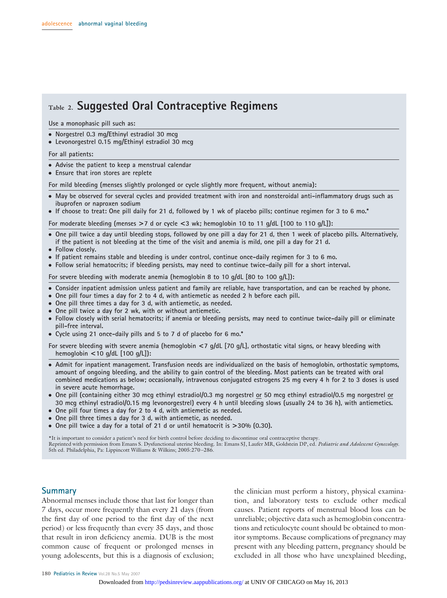## **Table 2. Suggested Oral Contraceptive Regimens**

**Use a monophasic pill such as:**

- **Norgestrel 0.3 mg/Ethinyl estradiol 30 mcg**
- **Levonorgestrel 0.15 mg/Ethinyl estradiol 30 mcg**

#### **For all patients:**

- **Advise the patient to keep a menstrual calendar**
- **Ensure that iron stores are replete**

**For mild bleeding (menses slightly prolonged or cycle slightly more frequent, without anemia):**

- **May be observed for several cycles and provided treatment with iron and nonsteroidal anti-inflammatory drugs such as ibuprofen or naproxen sodium**
- **If choose to treat: One pill daily for 21 d, followed by 1 wk of placebo pills; continue regimen for 3 to 6 mo.\***

**For moderate bleeding (menses >7 d or cycle <3 wk; hemoglobin 10 to 11 g/dL [100 to 110 g/L]):**

- **One pill twice a day until bleeding stops, followed by one pill a day for 21 d, then 1 week of placebo pills. Alternatively, if the patient is not bleeding at the time of the visit and anemia is mild, one pill a day for 21 d.**
- **Follow closely.**
- **If patient remains stable and bleeding is under control, continue once-daily regimen for 3 to 6 mo.**
- **Follow serial hematocrits; if bleeding persists, may need to continue twice-daily pill for a short interval.**

**For severe bleeding with moderate anemia (hemoglobin 8 to 10 g/dL [80 to 100 g/L]):**

- **Consider inpatient admission unless patient and family are reliable, have transportation, and can be reached by phone.**
- **One pill four times a day for 2 to 4 d, with antiemetic as needed 2 h before each pill.**
- **One pill three times a day for 3 d, with antiemetic, as needed.**
- **One pill twice a day for 2 wk, with or without antiemetic.**
- **Follow closely with serial hematocrits; if anemia or bleeding persists, may need to continue twice-daily pill or eliminate pill-free interval.**
- **Cycle using 21 once-daily pills and 5 to 7 d of placebo for 6 mo.\***

**For severe bleeding with severe anemia (hemoglobin <7 g/dL [70 g/L], orthostatic vital signs, or heavy bleeding with hemoglobin <10 g/dL [100 g/L]):**

- **Admit for inpatient management. Transfusion needs are individualized on the basis of hemoglobin, orthostatic symptoms, amount of ongoing bleeding, and the ability to gain control of the bleeding. Most patients can be treated with oral combined medications as below; occasionally, intravenous conjugated estrogens 25 mg every 4 h for 2 to 3 doses is used in severe acute hemorrhage.**
- **One pill (containing either 30 mcg ethinyl estradiol/0.3 mg norgestrel or 50 mcg ethinyl estradiol/0.5 mg norgestrel or 30 mcg ethinyl estradiol/0.15 mg levonorgestrel) every 4 h until bleeding slows (usually 24 to 36 h), with antiemetics.**
- **One pill four times a day for 2 to 4 d, with antiemetic as needed.**
- **One pill three times a day for 3 d, with antiemetic, as needed.**
- **One pill twice a day for a total of 21 d or until hematocrit is >30% (0.30).**

\*It is important to consider a patient's need for birth control before deciding to discontinue oral contraceptive therapy. Reprinted with permission from Emans S. Dysfunctional uterine bleeding. In: Emans SJ, Laufer MR, Goldstein DP, ed. *Pediatric and Adolescent Gynecology*. 5th ed. Philadelphia, Pa: Lippincott Williams & Wilkins; 2005:270 –286.

#### **Summary**

Abnormal menses include those that last for longer than 7 days, occur more frequently than every 21 days (from the first day of one period to the first day of the next period) or less frequently than every 35 days, and those that result in iron deficiency anemia. DUB is the most common cause of frequent or prolonged menses in young adolescents, but this is a diagnosis of exclusion; the clinician must perform a history, physical examination, and laboratory tests to exclude other medical causes. Patient reports of menstrual blood loss can be unreliable; objective data such as hemoglobin concentrations and reticulocyte count should be obtained to monitor symptoms. Because complications of pregnancy may present with any bleeding pattern, pregnancy should be excluded in all those who have unexplained bleeding,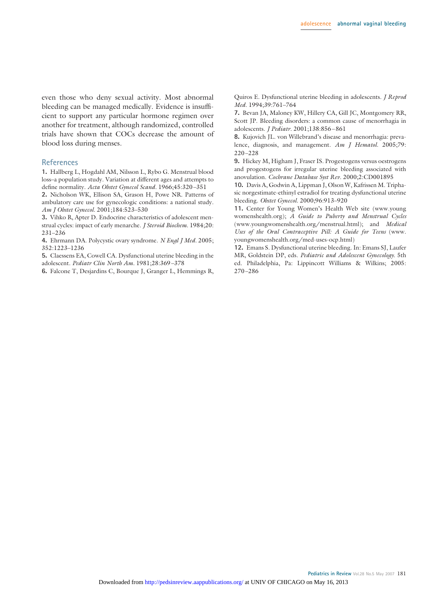even those who deny sexual activity. Most abnormal bleeding can be managed medically. Evidence is insufficient to support any particular hormone regimen over another for treatment, although randomized, controlled trials have shown that COCs decrease the amount of blood loss during menses.

#### **References**

**1.** Hallberg L, Hogdahl AM, Nilsson L, Rybo G. Menstrual blood loss–a population study. Variation at different ages and attempts to define normality. *Acta Obstet Gynecol Scand.* 1966;45:320 –351

**2.** Nicholson WK, Ellison SA, Grason H, Powe NR. Patterns of ambulatory care use for gynecologic conditions: a national study. *Am J Obstet Gynecol.* 2001;184:523–530

**3.** Vihko R, Apter D. Endocrine characteristics of adolescent menstrual cycles: impact of early menarche. *J Steroid Biochem.* 1984;20: 231–236

**4.** Ehrmann DA. Polycystic ovary syndrome. *N Engl J Med.* 2005; 352:1223–1236

**5.** Claessens EA, Cowell CA. Dysfunctional uterine bleeding in the adolescent. *Pediatr Clin North Am.* 1981;28:369 –378

**6.** Falcone T, Desjardins C, Bourque J, Granger L, Hemmings R,

Quiros E. Dysfunctional uterine bleeding in adolescents. *J Reprod Med.* 1994;39:761–764

**7.** Bevan JA, Maloney KW, Hillery CA, Gill JC, Montgomery RR, Scott JP. Bleeding disorders: a common cause of menorrhagia in adolescents. *J Pediatr.* 2001;138:856 – 861

**8.** Kujovich JL. von Willebrand's disease and menorrhagia: prevalence, diagnosis, and management. *Am J Hematol.* 2005;79: 220 –228

**9.** Hickey M, Higham J, Fraser IS. Progestogens versus oestrogens and progestogens for irregular uterine bleeding associated with anovulation. *Cochrane Database Syst Rev.* 2000;2:CD001895

**10.** Davis A, Godwin A, Lippman J, Olson W, Kafrissen M. Triphasic norgestimate-ethinyl estradiol for treating dysfunctional uterine bleeding. *Obstet Gynecol.* 2000;96:913–920

**11.** Center for Young Women's Health Web site (www.young womenshealth.org); *A Guide to Puberty and Menstrual Cycles* (www.youngwomenshealth.org/menstrual.html); and *Medical Uses of the Oral Contraceptive Pill: A Guide for Teens* (www. youngwomenshealth.org/med-uses-ocp.html)

**12.** Emans S. Dysfunctional uterine bleeding. In: Emans SJ, Laufer MR, Goldstein DP, eds. *Pediatric and Adolescent Gynecology.* 5th ed. Philadelphia, Pa: Lippincott Williams & Wilkins; 2005: 270 –286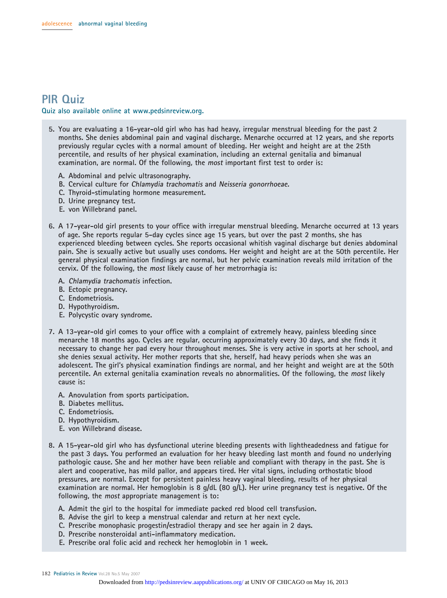### **PIR Quiz**

#### **Quiz also available online at www.pedsinreview.org.**

- **5. You are evaluating a 16-year-old girl who has had heavy, irregular menstrual bleeding for the past 2 months. She denies abdominal pain and vaginal discharge. Menarche occurred at 12 years, and she reports previously regular cycles with a normal amount of bleeding. Her weight and height are at the 25th percentile, and results of her physical examination, including an external genitalia and bimanual examination, are normal. Of the following, the most important first test to order is:**
	- **A. Abdominal and pelvic ultrasonography.**
	- **B. Cervical culture for Chlamydia trachomatis and Neisseria gonorrhoeae.**
	- **C. Thyroid-stimulating hormone measurement.**
	- **D. Urine pregnancy test.**
	- **E. von Willebrand panel.**
- **6. A 17-year-old girl presents to your office with irregular menstrual bleeding. Menarche occurred at 13 years of age. She reports regular 5-day cycles since age 15 years, but over the past 2 months, she has experienced bleeding between cycles. She reports occasional whitish vaginal discharge but denies abdominal pain. She is sexually active but usually uses condoms. Her weight and height are at the 50th percentile. Her general physical examination findings are normal, but her pelvic examination reveals mild irritation of the cervix. Of the following, the most likely cause of her metrorrhagia is:**
	- **A. Chlamydia trachomatis infection.**
	- **B. Ectopic pregnancy.**
	- **C. Endometriosis.**
	- **D. Hypothyroidism.**
	- **E. Polycystic ovary syndrome.**
- **7. A 13-year-old girl comes to your office with a complaint of extremely heavy, painless bleeding since menarche 18 months ago. Cycles are regular, occurring approximately every 30 days, and she finds it necessary to change her pad every hour throughout menses. She is very active in sports at her school, and she denies sexual activity. Her mother reports that she, herself, had heavy periods when she was an adolescent. The girl's physical examination findings are normal, and her height and weight are at the 50th percentile. An external genitalia examination reveals no abnormalities. Of the following, the most likely cause is:**
	- **A. Anovulation from sports participation.**
	- **B. Diabetes mellitus.**
	- **C. Endometriosis.**
	- **D. Hypothyroidism.**
	- **E. von Willebrand disease.**
- **8. A 15-year-old girl who has dysfunctional uterine bleeding presents with lightheadedness and fatigue for the past 3 days. You performed an evaluation for her heavy bleeding last month and found no underlying pathologic cause. She and her mother have been reliable and compliant with therapy in the past. She is alert and cooperative, has mild pallor, and appears tired. Her vital signs, including orthostatic blood pressures, are normal. Except for persistent painless heavy vaginal bleeding, results of her physical examination are normal. Her hemoglobin is 8 g/dL (80 g/L). Her urine pregnancy test is negative. Of the following, the most appropriate management is to:**
	- **A. Admit the girl to the hospital for immediate packed red blood cell transfusion.**
	- **B. Advise the girl to keep a menstrual calendar and return at her next cycle.**
	- **C. Prescribe monophasic progestin/estradiol therapy and see her again in 2 days.**
	- **D. Prescribe nonsteroidal anti-inflammatory medication.**
	- **E. Prescribe oral folic acid and recheck her hemoglobin in 1 week.**